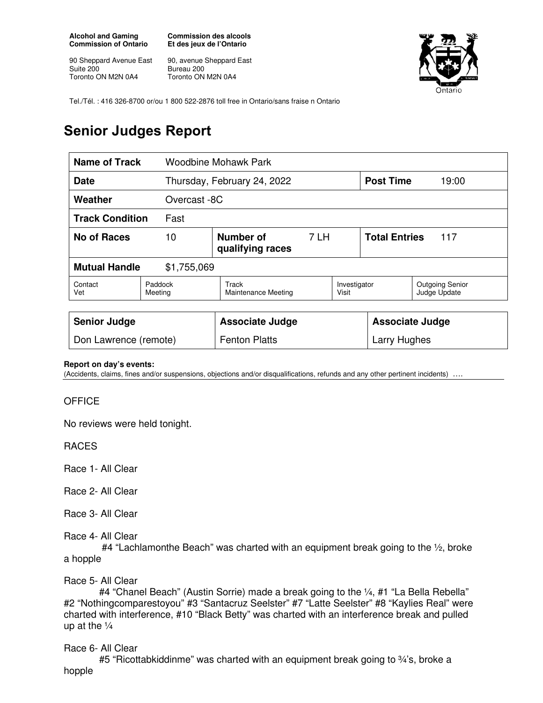**Alcohol and Gaming Commission of Ontario** 

90 Sheppard Avenue East Suite 200 Toronto ON M2N 0A4

**Commission des alcools Et des jeux de l'Ontario** 

90, avenue Sheppard East Bureau 200 Toronto ON M2N 0A4



Tel./Tél. : 416 326-8700 or/ou 1 800 522-2876 toll free in Ontario/sans fraise n Ontario

## **Senior Judges Report**

| <b>Name of Track</b>                |                    | Woodbine Mohawk Park          |      |                        |                             |                                        |
|-------------------------------------|--------------------|-------------------------------|------|------------------------|-----------------------------|----------------------------------------|
| <b>Date</b>                         |                    | Thursday, February 24, 2022   |      |                        | <b>Post Time</b>            | 19:00                                  |
| Weather<br>Overcast -8C             |                    |                               |      |                        |                             |                                        |
| <b>Track Condition</b><br>Fast      |                    |                               |      |                        |                             |                                        |
| <b>No of Races</b>                  | 10                 | Number of<br>qualifying races | 7 LH |                        | <b>Total Entries</b><br>117 |                                        |
| <b>Mutual Handle</b><br>\$1,755,069 |                    |                               |      |                        |                             |                                        |
| Contact<br>Vet                      | Paddock<br>Meeting | Track<br>Maintenance Meeting  |      | Investigator<br>Visit  |                             | <b>Outgoing Senior</b><br>Judge Update |
|                                     |                    |                               |      |                        |                             |                                        |
| <b>Senior Judge</b>                 |                    | <b>Associate Judge</b>        |      | <b>Associate Judge</b> |                             |                                        |
| Don Lawrence (remote)               |                    | <b>Fenton Platts</b>          |      | Larry Hughes           |                             |                                        |

## **Report on day's events:**

(Accidents, claims, fines and/or suspensions, objections and/or disqualifications, refunds and any other pertinent incidents) ….

## **OFFICE**

No reviews were held tonight.

RACES

Race 1- All Clear

Race 2- All Clear

Race 3- All Clear

Race 4- All Clear

 #4 "Lachlamonthe Beach" was charted with an equipment break going to the ½, broke a hopple

Race 5- All Clear

 #4 "Chanel Beach" (Austin Sorrie) made a break going to the ¼, #1 "La Bella Rebella" #2 "Nothingcomparestoyou" #3 "Santacruz Seelster" #7 "Latte Seelster" #8 "Kaylies Real" were charted with interference, #10 "Black Betty" was charted with an interference break and pulled up at the  $\frac{1}{4}$ 

Race 6- All Clear

#5 "Ricottabkiddinme" was charted with an equipment break going to  $\frac{3}{4}$ 's, broke a hopple